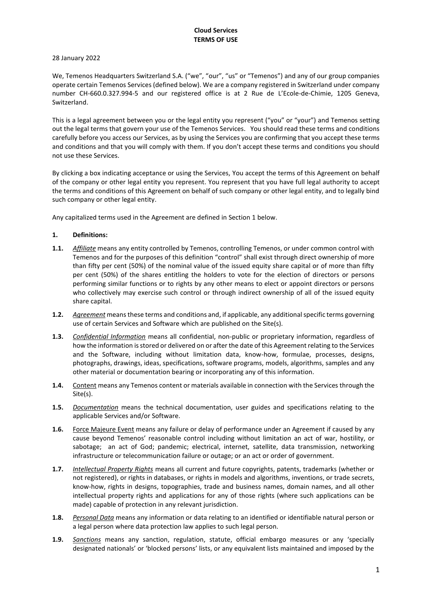# **Cloud Services TERMS OF USE**

# 28 January 2022

We, Temenos Headquarters Switzerland S.A. ("we", "our", "us" or "Temenos") and any of our group companies operate certain Temenos Services (defined below). We are a company registered in Switzerland under company number CH-660.0.327.994-5 and our registered office is at 2 Rue de L'Ecole-de-Chimie, 1205 Geneva, Switzerland.

This is a legal agreement between you or the legal entity you represent ("you" or "your") and Temenos setting out the legal terms that govern your use of the Temenos Services. You should read these terms and conditions carefully before you access our Services, as by using the Services you are confirming that you accept these terms and conditions and that you will comply with them. If you don't accept these terms and conditions you should not use these Services.

By clicking a box indicating acceptance or using the Services, You accept the terms of this Agreement on behalf of the company or other legal entity you represent. You represent that you have full legal authority to accept the terms and conditions of this Agreement on behalf of such company or other legal entity, and to legally bind such company or other legal entity.

Any capitalized terms used in the Agreement are defined in Section 1 below.

# **1. Definitions:**

- **1.1.** *Affiliate* means any entity controlled by Temenos, controlling Temenos, or under common control with Temenos and for the purposes of this definition "control" shall exist through direct ownership of more than fifty per cent (50%) of the nominal value of the issued equity share capital or of more than fifty per cent (50%) of the shares entitling the holders to vote for the election of directors or persons performing similar functions or to rights by any other means to elect or appoint directors or persons who collectively may exercise such control or through indirect ownership of all of the issued equity share capital.
- **1.2.** *Agreement* means these terms and conditions and, if applicable, any additional specific terms governing use of certain Services and Software which are published on the Site(s).
- **1.3.** *Confidential Information* means all confidential, non-public or proprietary information, regardless of how the information is stored or delivered on or after the date of this Agreement relating to the Services and the Software, including without limitation data, know-how, formulae, processes, designs, photographs, drawings, ideas, specifications, software programs, models, algorithms, samples and any other material or documentation bearing or incorporating any of this information.
- **1.4.** Content means any Temenos content or materials available in connection with the Services through the Site(s).
- **1.5.** *Documentation* means the technical documentation, user guides and specifications relating to the applicable Services and/or Software.
- **1.6.** Force Majeure Event means any failure or delay of performance under an Agreement if caused by any cause beyond Temenos' reasonable control including without limitation an act of war, hostility, or sabotage; an act of God; pandemic; electrical, internet, satellite, data transmission, networking infrastructure or telecommunication failure or outage; or an act or order of government.
- **1.7.** *Intellectual Property Rights* means all current and future copyrights, patents, trademarks (whether or not registered), or rights in databases, or rights in models and algorithms, inventions, or trade secrets, know-how, rights in designs, topographies, trade and business names, domain names, and all other intellectual property rights and applications for any of those rights (where such applications can be made) capable of protection in any relevant jurisdiction.
- **1.8.** *Personal Data* means any information or data relating to an identified or identifiable natural person or a legal person where data protection law applies to such legal person.
- **1.9.** *Sanctions* means any sanction, regulation, statute, official embargo measures or any 'specially designated nationals' or 'blocked persons' lists, or any equivalent lists maintained and imposed by the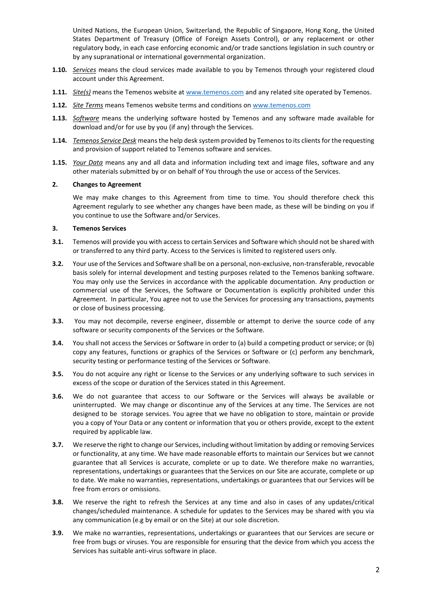United Nations, the European Union, Switzerland, the Republic of Singapore, Hong Kong, the United States Department of Treasury (Office of Foreign Assets Control), or any replacement or other regulatory body, in each case enforcing economic and/or trade sanctions legislation in such country or by any supranational or international governmental organization.

- **1.10.** *Services* means the cloud services made available to you by Temenos through your registered cloud account under this Agreement.
- **1.11.** *Site(s)* means the Temenos website a[t www.temenos.com](http://www.temenos.com/) and any related site operated by Temenos.
- **1.12.** *Site Terms* means Temenos website terms and conditions o[n www.temenos.com](http://www.temenos.com/)
- **1.13.** *Software* means the underlying software hosted by Temenos and any software made available for download and/or for use by you (if any) through the Services.
- **1.14.** *Temenos Service Desk* means the help desk system provided by Temenos to its clients for the requesting and provision of support related to Temenos software and services.
- **1.15.** *Your Data* means any and all data and information including text and image files, software and any other materials submitted by or on behalf of You through the use or access of the Services.

#### **2. Changes to Agreement**

We may make changes to this Agreement from time to time. You should therefore check this Agreement regularly to see whether any changes have been made, as these will be binding on you if you continue to use the Software and/or Services.

### **3. Temenos Services**

- **3.1.** Temenos will provide you with access to certain Services and Software which should not be shared with or transferred to any third party. Access to the Services is limited to registered users only.
- **3.2.** Your use of the Services and Software shall be on a personal, non-exclusive, non-transferable, revocable basis solely for internal development and testing purposes related to the Temenos banking software. You may only use the Services in accordance with the applicable documentation. Any production or commercial use of the Services, the Software or Documentation is explicitly prohibited under this Agreement. In particular, You agree not to use the Services for processing any transactions, payments or close of business processing.
- **3.3.** You may not decompile, reverse engineer, dissemble or attempt to derive the source code of any software or security components of the Services or the Software.
- **3.4.** You shall not access the Services or Software in order to (a) build a competing product or service; or (b) copy any features, functions or graphics of the Services or Software or (c) perform any benchmark, security testing or performance testing of the Services or Software.
- **3.5.** You do not acquire any right or license to the Services or any underlying software to such services in excess of the scope or duration of the Services stated in this Agreement.
- **3.6.** We do not guarantee that access to our Software or the Services will always be available or uninterrupted. We may change or discontinue any of the Services at any time. The Services are not designed to be storage services. You agree that we have no obligation to store, maintain or provide you a copy of Your Data or any content or information that you or others provide, except to the extent required by applicable law.
- **3.7.** We reserve the right to change our Services, including without limitation by adding or removing Services or functionality, at any time. We have made reasonable efforts to maintain our Services but we cannot guarantee that all Services is accurate, complete or up to date. We therefore make no warranties, representations, undertakings or guarantees that the Services on our Site are accurate, complete or up to date. We make no warranties, representations, undertakings or guarantees that our Services will be free from errors or omissions.
- **3.8.** We reserve the right to refresh the Services at any time and also in cases of any updates/critical changes/scheduled maintenance. A schedule for updates to the Services may be shared with you via any communication (e.g by email or on the Site) at our sole discretion.
- **3.9.** We make no warranties, representations, undertakings or guarantees that our Services are secure or free from bugs or viruses. You are responsible for ensuring that the device from which you access the Services has suitable anti-virus software in place.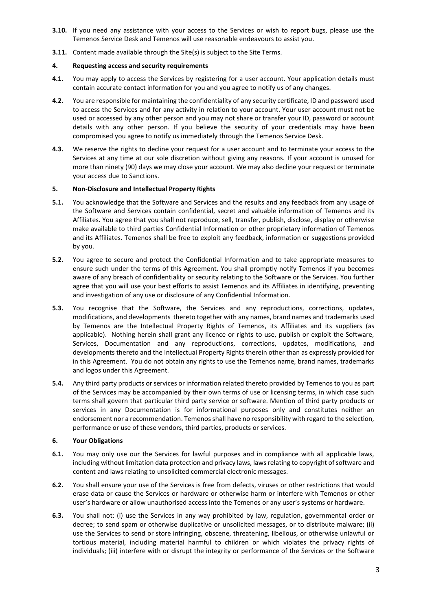- **3.10.** If you need any assistance with your access to the Services or wish to report bugs, please use the Temenos Service Desk and Temenos will use reasonable endeavours to assist you.
- **3.11.** Content made available through the Site(s) is subject to the Site Terms.

# **4. Requesting access and security requirements**

- **4.1.** You may apply to access the Services by registering for a user account. Your application details must contain accurate contact information for you and you agree to notify us of any changes.
- **4.2.** You are responsible for maintaining the confidentiality of any security certificate, ID and password used to access the Services and for any activity in relation to your account. Your user account must not be used or accessed by any other person and you may not share or transfer your ID, password or account details with any other person. If you believe the security of your credentials may have been compromised you agree to notify us immediately through the Temenos Service Desk.
- **4.3.** We reserve the rights to decline your request for a user account and to terminate your access to the Services at any time at our sole discretion without giving any reasons. If your account is unused for more than ninety (90) days we may close your account. We may also decline your request or terminate your access due to Sanctions.

# **5. Non-Disclosure and Intellectual Property Rights**

- **5.1.** You acknowledge that the Software and Services and the results and any feedback from any usage of the Software and Services contain confidential, secret and valuable information of Temenos and its Affiliates. You agree that you shall not reproduce, sell, transfer, publish, disclose, display or otherwise make available to third parties Confidential Information or other proprietary information of Temenos and its Affiliates. Temenos shall be free to exploit any feedback, information or suggestions provided by you.
- **5.2.** You agree to secure and protect the Confidential Information and to take appropriate measures to ensure such under the terms of this Agreement. You shall promptly notify Temenos if you becomes aware of any breach of confidentiality or security relating to the Software or the Services. You further agree that you will use your best efforts to assist Temenos and its Affiliates in identifying, preventing and investigation of any use or disclosure of any Confidential Information.
- **5.3.** You recognise that the Software, the Services and any reproductions, corrections, updates, modifications, and developments thereto together with any names, brand names and trademarks used by Temenos are the Intellectual Property Rights of Temenos, its Affiliates and its suppliers (as applicable). Nothing herein shall grant any licence or rights to use, publish or exploit the Software, Services, Documentation and any reproductions, corrections, updates, modifications, and developments thereto and the Intellectual Property Rights therein other than as expressly provided for in this Agreement. You do not obtain any rights to use the Temenos name, brand names, trademarks and logos under this Agreement.
- **5.4.** Any third party products or services or information related thereto provided by Temenos to you as part of the Services may be accompanied by their own terms of use or licensing terms, in which case such terms shall govern that particular third party service or software. Mention of third party products or services in any Documentation is for informational purposes only and constitutes neither an endorsement nor a recommendation. Temenos shall have no responsibility with regard to the selection, performance or use of these vendors, third parties, products or services.

#### **6. Your Obligations**

- **6.1.** You may only use our the Services for lawful purposes and in compliance with all applicable laws, including without limitation data protection and privacy laws, laws relating to copyright of software and content and laws relating to unsolicited commercial electronic messages.
- **6.2.** You shall ensure your use of the Services is free from defects, viruses or other restrictions that would erase data or cause the Services or hardware or otherwise harm or interfere with Temenos or other user's hardware or allow unauthorised access into the Temenos or any user's systems or hardware.
- **6.3.** You shall not: (i) use the Services in any way prohibited by law, regulation, governmental order or decree; to send spam or otherwise duplicative or unsolicited messages, or to distribute malware; (ii) use the Services to send or store infringing, obscene, threatening, libellous, or otherwise unlawful or tortious material, including material harmful to children or which violates the privacy rights of individuals; (iii) interfere with or disrupt the integrity or performance of the Services or the Software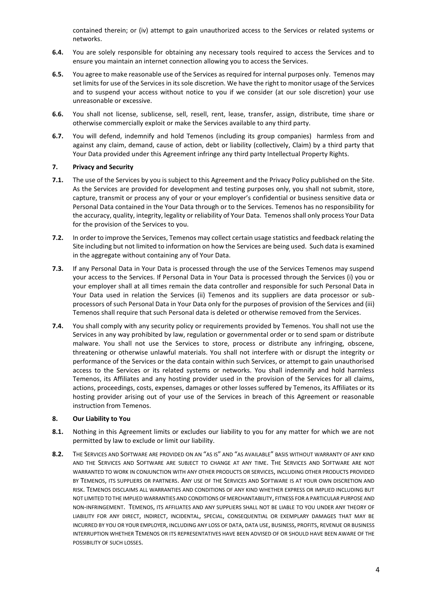contained therein; or (iv) attempt to gain unauthorized access to the Services or related systems or networks.

- **6.4.** You are solely responsible for obtaining any necessary tools required to access the Services and to ensure you maintain an internet connection allowing you to access the Services.
- **6.5.** You agree to make reasonable use of the Services as required for internal purposes only. Temenos may set limits for use of the Services in its sole discretion. We have the right to monitor usage of the Services and to suspend your access without notice to you if we consider (at our sole discretion) your use unreasonable or excessive.
- **6.6.** You shall not license, sublicense, sell, resell, rent, lease, transfer, assign, distribute, time share or otherwise commercially exploit or make the Services available to any third party.
- **6.7.** You will defend, indemnify and hold Temenos (including its group companies) harmless from and against any claim, demand, cause of action, debt or liability (collectively, Claim) by a third party that Your Data provided under this Agreement infringe any third party Intellectual Property Rights.

#### **7. Privacy and Security**

- **7.1.** The use of the Services by you is subject to this Agreement and the Privacy Policy published on the Site. As the Services are provided for development and testing purposes only, you shall not submit, store, capture, transmit or process any of your or your employer's confidential or business sensitive data or Personal Data contained in the Your Data through or to the Services. Temenos has no responsibility for the accuracy, quality, integrity, legality or reliability of Your Data. Temenos shall only process Your Data for the provision of the Services to you.
- **7.2.** In order to improve the Services, Temenos may collect certain usage statistics and feedback relating the Site including but not limited to information on how the Services are being used. Such data is examined in the aggregate without containing any of Your Data.
- **7.3.** If any Personal Data in Your Data is processed through the use of the Services Temenos may suspend your access to the Services. If Personal Data in Your Data is processed through the Services (i) you or your employer shall at all times remain the data controller and responsible for such Personal Data in Your Data used in relation the Services (ii) Temenos and its suppliers are data processor or subprocessors of such Personal Data in Your Data only for the purposes of provision of the Services and (iii) Temenos shall require that such Personal data is deleted or otherwise removed from the Services.
- **7.4.** You shall comply with any security policy or requirements provided by Temenos. You shall not use the Services in any way prohibited by law, regulation or governmental order or to send spam or distribute malware. You shall not use the Services to store, process or distribute any infringing, obscene, threatening or otherwise unlawful materials. You shall not interfere with or disrupt the integrity or performance of the Services or the data contain within such Services, or attempt to gain unauthorised access to the Services or its related systems or networks. You shall indemnify and hold harmless Temenos, its Affiliates and any hosting provider used in the provision of the Services for all claims, actions, proceedings, costs, expenses, damages or other losses suffered by Temenos, its Affiliates or its hosting provider arising out of your use of the Services in breach of this Agreement or reasonable instruction from Temenos.

#### **8. Our Liability to You**

- **8.1.** Nothing in this Agreement limits or excludes our liability to you for any matter for which we are not permitted by law to exclude or limit our liability.
- **8.2.** THE SERVICES AND SOFTWARE ARE PROVIDED ON AN "AS IS" AND "AS AVAILABLE" BASIS WITHOUT WARRANTY OF ANY KIND AND THE SERVICES AND SOFTWARE ARE SUBJECT TO CHANGE AT ANY TIME. THE SERVICES AND SOFTWARE ARE NOT WARRANTED TO WORK IN CONJUNCTION WITH ANY OTHER PRODUCTS OR SERVICES, INCLUDING OTHER PRODUCTS PROVIDED BY TEMENOS, ITS SUPPLIERS OR PARTNERS. ANY USE OF THE SERVICES AND SOFTWARE IS AT YOUR OWN DISCRETION AND RISK. TEMENOS DISCLAIMS ALL WARRANTIES AND CONDITIONS OF ANY KIND WHETHER EXPRESS OR IMPLIED INCLUDING BUT NOT LIMITED TO THE IMPLIED WARRANTIES AND CONDITIONS OF MERCHANTABILITY, FITNESS FOR A PARTICULAR PURPOSE AND NON-INFRINGEMENT. TEMENOS, ITS AFFILIATES AND ANY SUPPLIERS SHALL NOT BE LIABLE TO YOU UNDER ANY THEORY OF LIABILITY FOR ANY DIRECT, INDIRECT, INCIDENTAL, SPECIAL, CONSEQUENTIAL OR EXEMPLARY DAMAGES THAT MAY BE INCURRED BY YOU OR YOUR EMPLOYER, INCLUDING ANY LOSS OF DATA, DATA USE, BUSINESS, PROFITS, REVENUE OR BUSINESS INTERRUPTION WHETHER TEMENOS OR ITS REPRESENTATIVES HAVE BEEN ADVISED OF OR SHOULD HAVE BEEN AWARE OF THE POSSIBILITY OF SUCH LOSSES.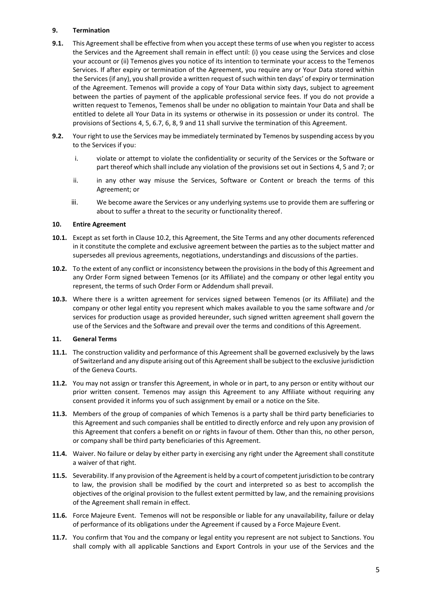# **9. Termination**

- **9.1.** This Agreement shall be effective from when you accept these terms of use when you register to access the Services and the Agreement shall remain in effect until: (i) you cease using the Services and close your account or (ii) Temenos gives you notice of its intention to terminate your access to the Temenos Services. If after expiry or termination of the Agreement, you require any or Your Data stored within the Services (if any), you shall provide a written request of such within ten days' of expiry or termination of the Agreement. Temenos will provide a copy of Your Data within sixty days, subject to agreement between the parties of payment of the applicable professional service fees. If you do not provide a written request to Temenos, Temenos shall be under no obligation to maintain Your Data and shall be entitled to delete all Your Data in its systems or otherwise in its possession or under its control. The provisions of Sections 4, 5, 6.7, 6, 8, 9 and 11 shall survive the termination of this Agreement.
- **9.2.** Your right to use the Services may be immediately terminated by Temenos by suspending access by you to the Services if you:
	- i. violate or attempt to violate the confidentiality or security of the Services or the Software or part thereof which shall include any violation of the provisions set out in Sections 4, 5 and 7; or
	- ii. in any other way misuse the Services, Software or Content or breach the terms of this Agreement; or
	- iii. We become aware the Services or any underlying systems use to provide them are suffering or about to suffer a threat to the security or functionality thereof.

#### **10. Entire Agreement**

- **10.1.** Except as set forth in Clause 10.2, this Agreement, the Site Terms and any other documents referenced in it constitute the complete and exclusive agreement between the parties as to the subject matter and supersedes all previous agreements, negotiations, understandings and discussions of the parties.
- **10.2.** To the extent of any conflict or inconsistency between the provisions in the body of this Agreement and any Order Form signed between Temenos (or its Affiliate) and the company or other legal entity you represent, the terms of such Order Form or Addendum shall prevail.
- **10.3.** Where there is a written agreement for services signed between Temenos (or its Affiliate) and the company or other legal entity you represent which makes available to you the same software and /or services for production usage as provided hereunder, such signed written agreement shall govern the use of the Services and the Software and prevail over the terms and conditions of this Agreement.

#### **11. General Terms**

- **11.1.** The construction validity and performance of this Agreement shall be governed exclusively by the laws of Switzerland and any dispute arising out of this Agreement shall be subject to the exclusive jurisdiction of the Geneva Courts.
- **11.2.** You may not assign or transfer this Agreement, in whole or in part, to any person or entity without our prior written consent. Temenos may assign this Agreement to any Affiliate without requiring any consent provided it informs you of such assignment by email or a notice on the Site.
- **11.3.** Members of the group of companies of which Temenos is a party shall be third party beneficiaries to this Agreement and such companies shall be entitled to directly enforce and rely upon any provision of this Agreement that confers a benefit on or rights in favour of them. Other than this, no other person, or company shall be third party beneficiaries of this Agreement.
- **11.4.** Waiver. No failure or delay by either party in exercising any right under the Agreement shall constitute a waiver of that right.
- **11.5.** Severability. If any provision of the Agreement is held by a court of competent jurisdiction to be contrary to law, the provision shall be modified by the court and interpreted so as best to accomplish the objectives of the original provision to the fullest extent permitted by law, and the remaining provisions of the Agreement shall remain in effect.
- **11.6.** Force Majeure Event. Temenos will not be responsible or liable for any unavailability, failure or delay of performance of its obligations under the Agreement if caused by a Force Majeure Event.
- **11.7.** You confirm that You and the company or legal entity you represent are not subject to Sanctions. You shall comply with all applicable Sanctions and Export Controls in your use of the Services and the